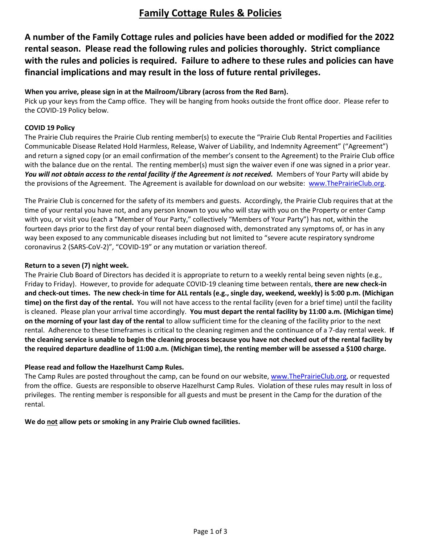# **Family Cottage Rules & Policies**

**A number of the Family Cottage rules and policies have been added or modified for the 2022 rental season. Please read the following rules and policies thoroughly. Strict compliance with the rules and policies is required. Failure to adhere to these rules and policies can have financial implications and may result in the loss of future rental privileges.**

# **When you arrive, please sign in at the Mailroom/Library (across from the Red Barn).**

Pick up your keys from the Camp office. They will be hanging from hooks outside the front office door. Please refer to the COVID-19 Policy below.

# **COVID 19 Policy**

The Prairie Club requires the Prairie Club renting member(s) to execute the "Prairie Club Rental Properties and Facilities Communicable Disease Related Hold Harmless, Release, Waiver of Liability, and Indemnity Agreement" ("Agreement") and return a signed copy (or an email confirmation of the member's consent to the Agreement) to the Prairie Club office with the balance due on the rental. The renting member(s) must sign the waiver even if one was signed in a prior year. You will not obtain access to the rental facility if the Agreement is not received. Members of Your Party will abide by the provisions of the Agreement. The Agreement is available for download on our website: [www.ThePrairieClub.org.](http://www.theprairieclub.org/)

The Prairie Club is concerned for the safety of its members and guests. Accordingly, the Prairie Club requires that at the time of your rental you have not, and any person known to you who will stay with you on the Property or enter Camp with you, or visit you (each a "Member of Your Party," collectively "Members of Your Party") has not, within the fourteen days prior to the first day of your rental been diagnosed with, demonstrated any symptoms of, or has in any way been exposed to any communicable diseases including but not limited to "severe acute respiratory syndrome coronavirus 2 (SARS-CoV-2)", "COVID-19" or any mutation or variation thereof.

# **Return to a seven (7) night week.**

The Prairie Club Board of Directors has decided it is appropriate to return to a weekly rental being seven nights (e.g., Friday to Friday). However, to provide for adequate COVID-19 cleaning time between rentals, **there are new check-in and check-out times. The new check-in time for ALL rentals (e.g., single day, weekend, weekly) is 5:00 p.m. (Michigan time) on the first day of the rental.** You will not have access to the rental facility (even for a brief time) until the facility is cleaned. Please plan your arrival time accordingly. **You must depart the rental facility by 11:00 a.m. (Michigan time) on the morning of your last day of the rental** to allow sufficient time for the cleaning of the facility prior to the next rental. Adherence to these timeframes is critical to the cleaning regimen and the continuance of a 7-day rental week. **If the cleaning service is unable to begin the cleaning process because you have not checked out of the rental facility by the required departure deadline of 11:00 a.m. (Michigan time), the renting member will be assessed a \$100 charge.**

#### **Please read and follow the Hazelhurst Camp Rules.**

The Camp Rules are posted throughout the camp, can be found on our website, [www.ThePrairieClub.org,](http://www.theprairieclub.org/) or requested from the office.Guests are responsible to observe Hazelhurst Camp Rules. Violation of these rules may result in loss of privileges. The renting member is responsible for all guests and must be present in the Camp for the duration of the rental.

**We do not allow pets or smoking in any Prairie Club owned facilities.**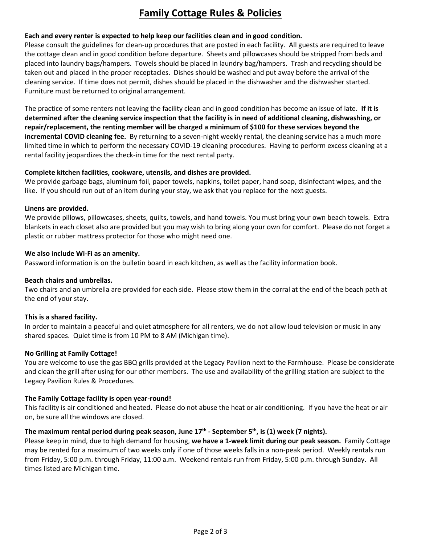# **Family Cottage Rules & Policies**

# **Each and every renter is expected to help keep our facilities clean and in good condition.**

Please consult the guidelines for clean-up procedures that are posted in each facility. All guests are required to leave the cottage clean and in good condition before departure. Sheets and pillowcases should be stripped from beds and placed into laundry bags/hampers. Towels should be placed in laundry bag/hampers. Trash and recycling should be taken out and placed in the proper receptacles. Dishes should be washed and put away before the arrival of the cleaning service. If time does not permit, dishes should be placed in the dishwasher and the dishwasher started. Furniture must be returned to original arrangement.

The practice of some renters not leaving the facility clean and in good condition has become an issue of late. **If it is determined after the cleaning service inspection that the facility is in need of additional cleaning, dishwashing, or repair/replacement, the renting member will be charged a minimum of \$100 for these services beyond the incremental COVID cleaning fee.** By returning to a seven-night weekly rental, the cleaning service has a much more limited time in which to perform the necessary COVID-19 cleaning procedures. Having to perform excess cleaning at a rental facility jeopardizes the check-in time for the next rental party.

# **Complete kitchen facilities, cookware, utensils, and dishes are provided.**

We provide garbage bags, aluminum foil, paper towels, napkins, toilet paper, hand soap, disinfectant wipes, and the like. If you should run out of an item during your stay, we ask that you replace for the next guests.

# **Linens are provided.**

We provide pillows, pillowcases, sheets, quilts, towels, and hand towels. You must bring your own beach towels. Extra blankets in each closet also are provided but you may wish to bring along your own for comfort. Please do not forget a plastic or rubber mattress protector for those who might need one.

# **We also include Wi-Fi as an amenity.**

Password information is on the bulletin board in each kitchen, as well as the facility information book.

#### **Beach chairs and umbrellas.**

Two chairs and an umbrella are provided for each side. Please stow them in the corral at the end of the beach path at the end of your stay.

#### **This is a shared facility.**

In order to maintain a peaceful and quiet atmosphere for all renters, we do not allow loud television or music in any shared spaces. Quiet time is from 10 PM to 8 AM (Michigan time).

#### **No Grilling at Family Cottage!**

You are welcome to use the gas BBQ grills provided at the Legacy Pavilion next to the Farmhouse. Please be considerate and clean the grill after using for our other members. The use and availability of the grilling station are subject to the Legacy Pavilion Rules & Procedures.

#### **The Family Cottage facility is open year-round!**

This facility is air conditioned and heated. Please do not abuse the heat or air conditioning. If you have the heat or air on, be sure all the windows are closed.

#### **The maximum rental period during peak season, June 17th - September 5th, is (1) week (7 nights).**

Please keep in mind, due to high demand for housing, **we have a 1-week limit during our peak season.** Family Cottage may be rented for a maximum of two weeks only if one of those weeks falls in a non-peak period. Weekly rentals run from Friday, 5:00 p.m. through Friday, 11:00 a.m. Weekend rentals run from Friday, 5:00 p.m. through Sunday. All times listed are Michigan time.